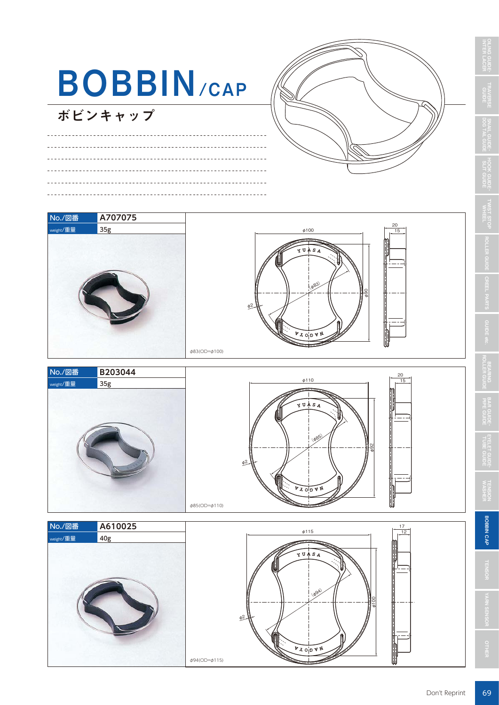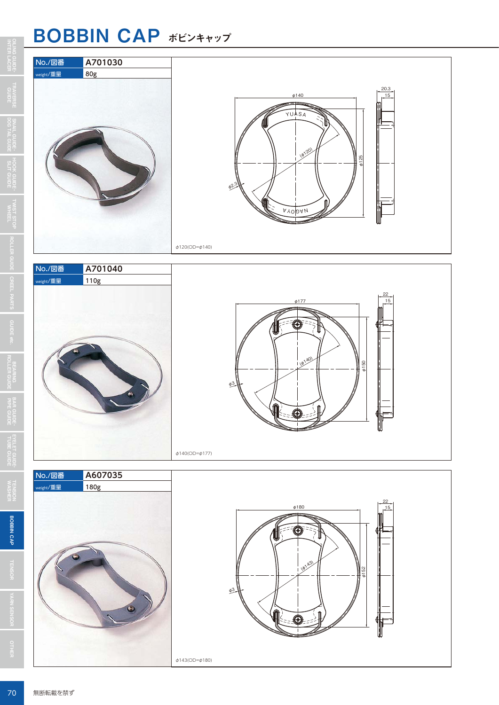### BOBBIN CAP ボビンキャップ







φ140(OD=φ177)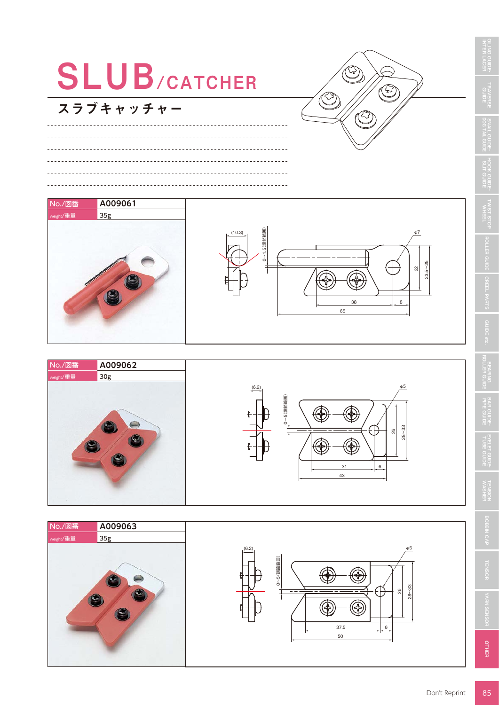

 $^{\circ}_{\infty}$ 28~33

 $31$  6

E



スラブキャッチャー

<u>. . . . . . . . . . . . . . . . . . .</u>

No./図番 **A009061** nt/重量 35g

C

 $\sim$ 



OTHER

**TENSION**<br>WASHEF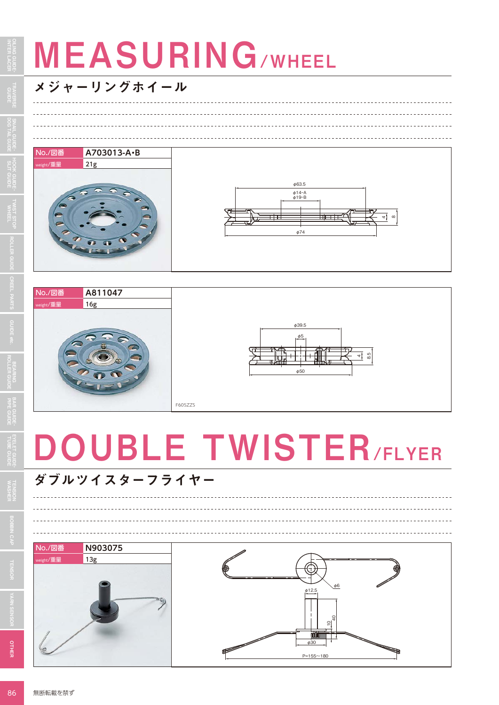# **MEASURING/WHEEL**

#### メジャーリングホイール









## DOUBLE TWISTER/FLYER

## ダブルツイスターフライヤー



으<br>규